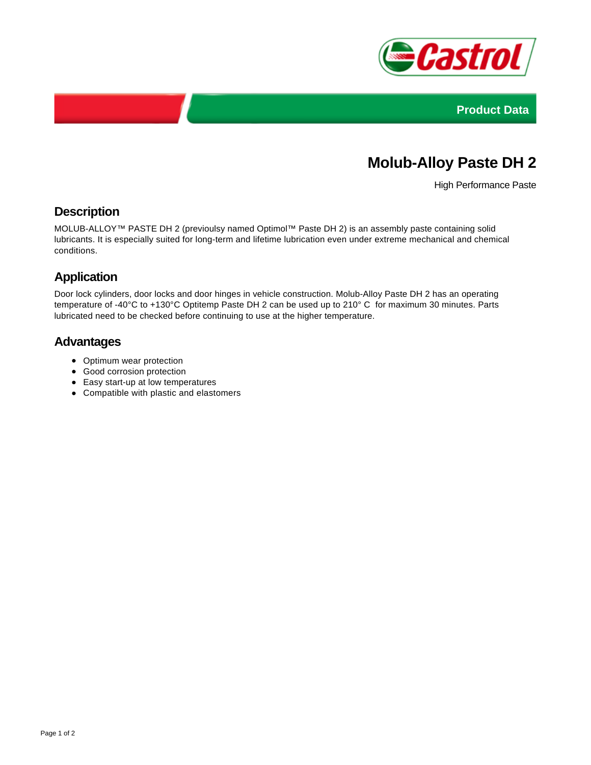



# **Molub-Alloy Paste DH 2**

High Performance Paste

## **Description**

MOLUB-ALLOY™ PASTE DH 2 (previoulsy named Optimol™ Paste DH 2) is an assembly paste containing solid lubricants. It is especially suited for long-term and lifetime lubrication even under extreme mechanical and chemical conditions.

# **Application**

Door lock cylinders, door locks and door hinges in vehicle construction. Molub-Alloy Paste DH 2 has an operating temperature of -40°C to +130°C Optitemp Paste DH 2 can be used up to 210° C for maximum 30 minutes. Parts lubricated need to be checked before continuing to use at the higher temperature.

#### **Advantages**

- Optimum wear protection
- Good corrosion protection
- Easy start-up at low temperatures
- Compatible with plastic and elastomers